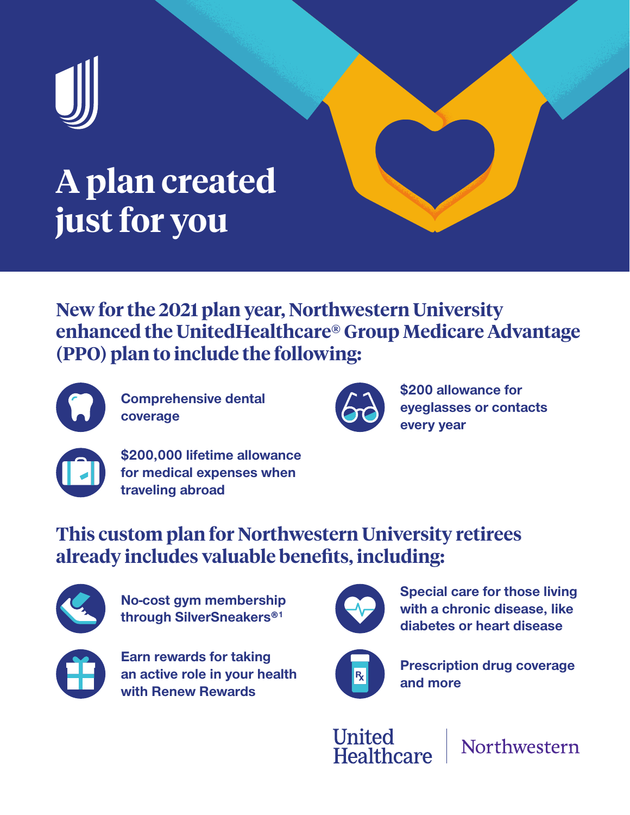

# **A plan created just for you**

**New for the 2021 plan year, Northwestern University enhanced the UnitedHealthcare® Group Medicare Advantage (PPO) plan to include the following:**



**Comprehensive dental coverage**



**\$200 allowance for eyeglasses or contacts every year**



**\$200,000 lifetime allowance for medical expenses when traveling abroad**

## **This custom plan for Northwestern University retirees already includes valuable benefits, including:**



**No-cost gym membership through SilverSneakers®1**



**Earn rewards for taking an active role in your health with Renew Rewards**



**Special care for those living with a chronic disease, like diabetes or heart disease**



**Prescription drug coverage and more**

**United** Healthcare

Northwestern